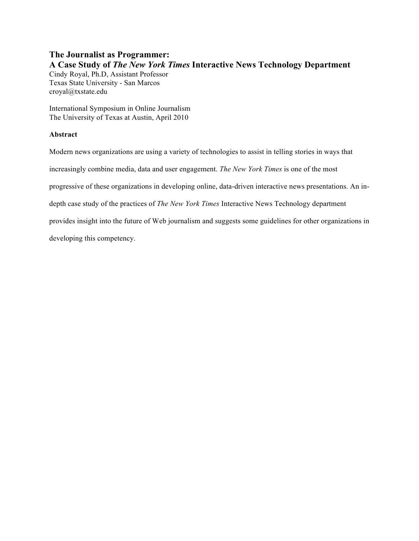# **The Journalist as Programmer: A Case Study of** *The New York Times* **Interactive News Technology Department**

Cindy Royal, Ph.D, Assistant Professor Texas State University - San Marcos croyal@txstate.edu

International Symposium in Online Journalism The University of Texas at Austin, April 2010

## **Abstract**

Modern news organizations are using a variety of technologies to assist in telling stories in ways that increasingly combine media, data and user engagement. *The New York Times* is one of the most progressive of these organizations in developing online, data-driven interactive news presentations. An indepth case study of the practices of *The New York Times* Interactive News Technology department provides insight into the future of Web journalism and suggests some guidelines for other organizations in developing this competency.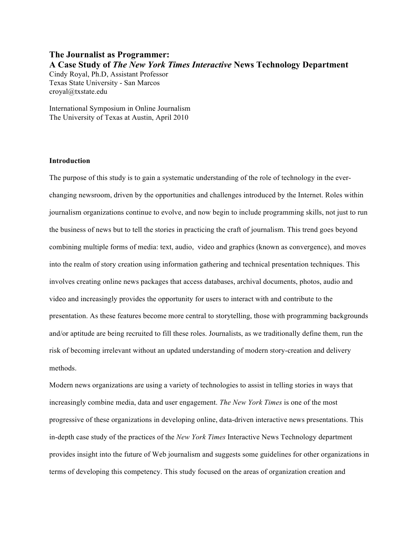# **The Journalist as Programmer: A Case Study of** *The New York Times Interactive* **News Technology Department**  Cindy Royal, Ph.D, Assistant Professor Texas State University - San Marcos croyal@txstate.edu

International Symposium in Online Journalism The University of Texas at Austin, April 2010

### **Introduction**

The purpose of this study is to gain a systematic understanding of the role of technology in the everchanging newsroom, driven by the opportunities and challenges introduced by the Internet. Roles within journalism organizations continue to evolve, and now begin to include programming skills, not just to run the business of news but to tell the stories in practicing the craft of journalism. This trend goes beyond combining multiple forms of media: text, audio, video and graphics (known as convergence), and moves into the realm of story creation using information gathering and technical presentation techniques. This involves creating online news packages that access databases, archival documents, photos, audio and video and increasingly provides the opportunity for users to interact with and contribute to the presentation. As these features become more central to storytelling, those with programming backgrounds and/or aptitude are being recruited to fill these roles. Journalists, as we traditionally define them, run the risk of becoming irrelevant without an updated understanding of modern story-creation and delivery methods.

Modern news organizations are using a variety of technologies to assist in telling stories in ways that increasingly combine media, data and user engagement. *The New York Times* is one of the most progressive of these organizations in developing online, data-driven interactive news presentations. This in-depth case study of the practices of the *New York Times* Interactive News Technology department provides insight into the future of Web journalism and suggests some guidelines for other organizations in terms of developing this competency. This study focused on the areas of organization creation and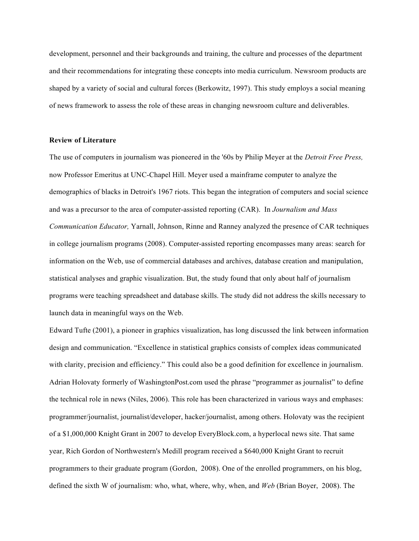development, personnel and their backgrounds and training, the culture and processes of the department and their recommendations for integrating these concepts into media curriculum. Newsroom products are shaped by a variety of social and cultural forces (Berkowitz, 1997). This study employs a social meaning of news framework to assess the role of these areas in changing newsroom culture and deliverables.

### **Review of Literature**

The use of computers in journalism was pioneered in the '60s by Philip Meyer at the *Detroit Free Press,*  now Professor Emeritus at UNC-Chapel Hill. Meyer used a mainframe computer to analyze the demographics of blacks in Detroit's 1967 riots. This began the integration of computers and social science and was a precursor to the area of computer-assisted reporting (CAR). In *Journalism and Mass Communication Educator,* Yarnall, Johnson, Rinne and Ranney analyzed the presence of CAR techniques in college journalism programs (2008). Computer-assisted reporting encompasses many areas: search for information on the Web, use of commercial databases and archives, database creation and manipulation, statistical analyses and graphic visualization. But, the study found that only about half of journalism programs were teaching spreadsheet and database skills. The study did not address the skills necessary to launch data in meaningful ways on the Web.

Edward Tufte (2001), a pioneer in graphics visualization, has long discussed the link between information design and communication. "Excellence in statistical graphics consists of complex ideas communicated with clarity, precision and efficiency." This could also be a good definition for excellence in journalism. Adrian Holovaty formerly of WashingtonPost.com used the phrase "programmer as journalist" to define the technical role in news (Niles, 2006). This role has been characterized in various ways and emphases: programmer/journalist, journalist/developer, hacker/journalist, among others. Holovaty was the recipient of a \$1,000,000 Knight Grant in 2007 to develop EveryBlock.com, a hyperlocal news site. That same year, Rich Gordon of Northwestern's Medill program received a \$640,000 Knight Grant to recruit programmers to their graduate program (Gordon, 2008). One of the enrolled programmers, on his blog, defined the sixth W of journalism: who, what, where, why, when, and *Web* (Brian Boyer, 2008). The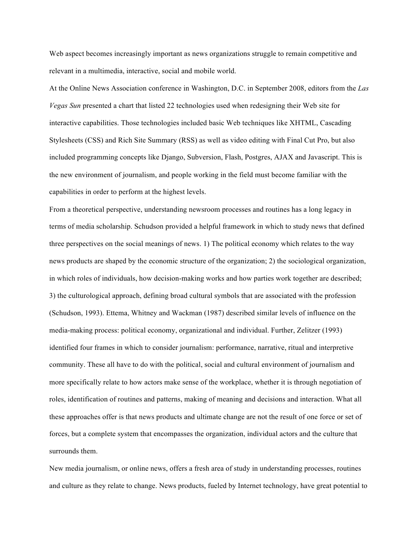Web aspect becomes increasingly important as news organizations struggle to remain competitive and relevant in a multimedia, interactive, social and mobile world.

At the Online News Association conference in Washington, D.C. in September 2008, editors from the *Las Vegas Sun* presented a chart that listed 22 technologies used when redesigning their Web site for interactive capabilities. Those technologies included basic Web techniques like XHTML, Cascading Stylesheets (CSS) and Rich Site Summary (RSS) as well as video editing with Final Cut Pro, but also included programming concepts like Django, Subversion, Flash, Postgres, AJAX and Javascript. This is the new environment of journalism, and people working in the field must become familiar with the capabilities in order to perform at the highest levels.

From a theoretical perspective, understanding newsroom processes and routines has a long legacy in terms of media scholarship. Schudson provided a helpful framework in which to study news that defined three perspectives on the social meanings of news. 1) The political economy which relates to the way news products are shaped by the economic structure of the organization; 2) the sociological organization, in which roles of individuals, how decision-making works and how parties work together are described; 3) the culturological approach, defining broad cultural symbols that are associated with the profession (Schudson, 1993). Ettema, Whitney and Wackman (1987) described similar levels of influence on the media-making process: political economy, organizational and individual. Further, Zelitzer (1993) identified four frames in which to consider journalism: performance, narrative, ritual and interpretive community. These all have to do with the political, social and cultural environment of journalism and more specifically relate to how actors make sense of the workplace, whether it is through negotiation of roles, identification of routines and patterns, making of meaning and decisions and interaction. What all these approaches offer is that news products and ultimate change are not the result of one force or set of forces, but a complete system that encompasses the organization, individual actors and the culture that surrounds them.

New media journalism, or online news, offers a fresh area of study in understanding processes, routines and culture as they relate to change. News products, fueled by Internet technology, have great potential to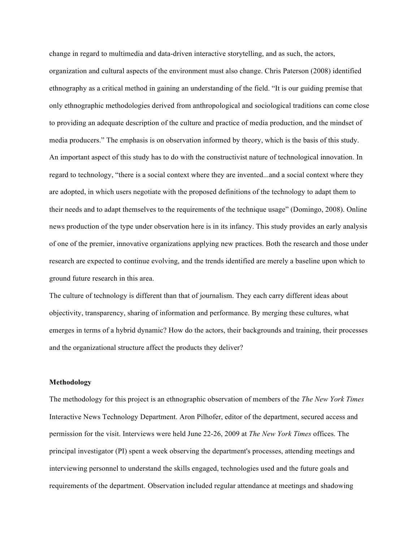change in regard to multimedia and data-driven interactive storytelling, and as such, the actors, organization and cultural aspects of the environment must also change. Chris Paterson (2008) identified ethnography as a critical method in gaining an understanding of the field. "It is our guiding premise that only ethnographic methodologies derived from anthropological and sociological traditions can come close to providing an adequate description of the culture and practice of media production, and the mindset of media producers." The emphasis is on observation informed by theory, which is the basis of this study. An important aspect of this study has to do with the constructivist nature of technological innovation. In regard to technology, "there is a social context where they are invented...and a social context where they are adopted, in which users negotiate with the proposed definitions of the technology to adapt them to their needs and to adapt themselves to the requirements of the technique usage" (Domingo, 2008). Online news production of the type under observation here is in its infancy. This study provides an early analysis of one of the premier, innovative organizations applying new practices. Both the research and those under research are expected to continue evolving, and the trends identified are merely a baseline upon which to ground future research in this area.

The culture of technology is different than that of journalism. They each carry different ideas about objectivity, transparency, sharing of information and performance. By merging these cultures, what emerges in terms of a hybrid dynamic? How do the actors, their backgrounds and training, their processes and the organizational structure affect the products they deliver?

### **Methodology**

The methodology for this project is an ethnographic observation of members of the *The New York Times* Interactive News Technology Department. Aron Pilhofer, editor of the department, secured access and permission for the visit. Interviews were held June 22-26, 2009 at *The New York Times* offices. The principal investigator (PI) spent a week observing the department's processes, attending meetings and interviewing personnel to understand the skills engaged, technologies used and the future goals and requirements of the department. Observation included regular attendance at meetings and shadowing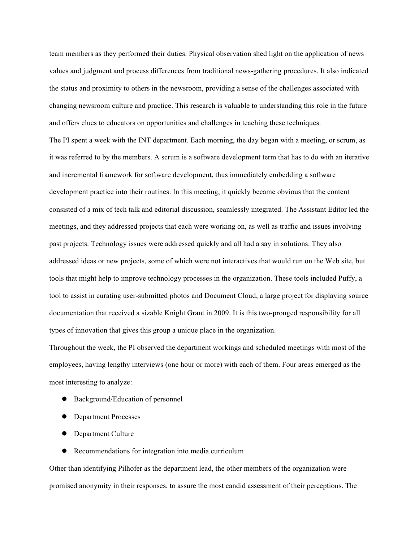team members as they performed their duties. Physical observation shed light on the application of news values and judgment and process differences from traditional news-gathering procedures. It also indicated the status and proximity to others in the newsroom, providing a sense of the challenges associated with changing newsroom culture and practice. This research is valuable to understanding this role in the future and offers clues to educators on opportunities and challenges in teaching these techniques. The PI spent a week with the INT department. Each morning, the day began with a meeting, or scrum, as it was referred to by the members. A scrum is a software development term that has to do with an iterative and incremental framework for software development, thus immediately embedding a software development practice into their routines. In this meeting, it quickly became obvious that the content consisted of a mix of tech talk and editorial discussion, seamlessly integrated. The Assistant Editor led the meetings, and they addressed projects that each were working on, as well as traffic and issues involving past projects. Technology issues were addressed quickly and all had a say in solutions. They also addressed ideas or new projects, some of which were not interactives that would run on the Web site, but tools that might help to improve technology processes in the organization. These tools included Puffy, a tool to assist in curating user-submitted photos and Document Cloud, a large project for displaying source documentation that received a sizable Knight Grant in 2009. It is this two-pronged responsibility for all types of innovation that gives this group a unique place in the organization.

Throughout the week, the PI observed the department workings and scheduled meetings with most of the employees, having lengthy interviews (one hour or more) with each of them. Four areas emerged as the most interesting to analyze:

- Background/Education of personnel
- Department Processes
- Department Culture
- Recommendations for integration into media curriculum

Other than identifying Pilhofer as the department lead, the other members of the organization were promised anonymity in their responses, to assure the most candid assessment of their perceptions. The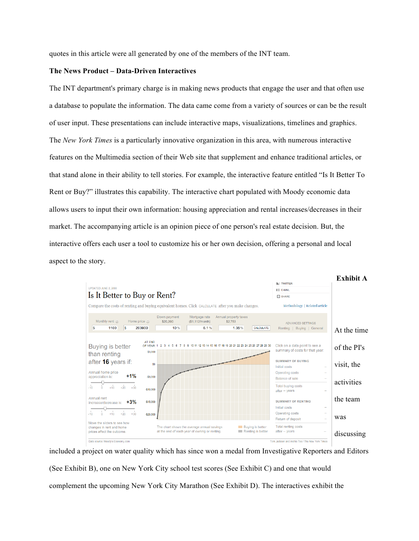quotes in this article were all generated by one of the members of the INT team.

## **The News Product – Data-Driven Interactives**

The INT department's primary charge is in making news products that engage the user and that often use a database to populate the information. The data came come from a variety of sources or can be the result of user input. These presentations can include interactive maps, visualizations, timelines and graphics. The *New York Times* is a particularly innovative organization in this area, with numerous interactive features on the Multimedia section of their Web site that supplement and enhance traditional articles, or that stand alone in their ability to tell stories. For example, the interactive feature entitled "Is It Better To Rent or Buy?" illustrates this capability. The interactive chart populated with Moody economic data allows users to input their own information: housing appreciation and rental increases/decreases in their market. The accompanying article is an opinion piece of one person's real estate decision. But, the interactive offers each user a tool to customize his or her own decision, offering a personal and local aspect to the story.



included a project on water quality which has since won a medal from Investigative Reporters and Editors (See Exhibit B), one on New York City school test scores (See Exhibit C) and one that would complement the upcoming New York City Marathon (See Exhibit D). The interactives exhibit the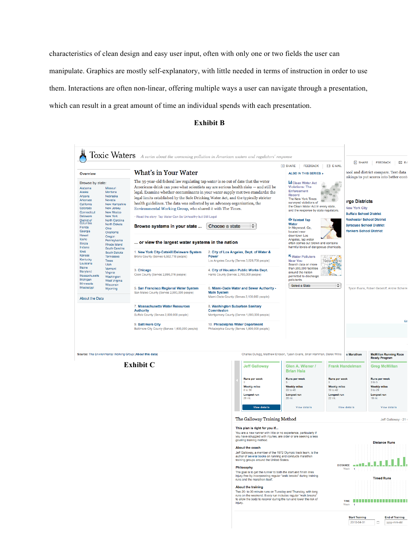characteristics of clean design and easy user input, often with only one or two fields the user can manipulate. Graphics are mostly self-explanatory, with little needed in terms of instruction in order to use them. Interactions are often non-linear, offering multiple ways a user can navigate through a presentation, which can result in a great amount of time an individual spends with each presentation.

### **Exhibit B**



**Exhibit C**



### The Galloway Training Method

Jeff Galloway - 21 v

**End of Training** 

yyyy-mm-dd

This plan is right for you if...

You are a new runner with little or no experience, particularly if<br>you have struggled with injuries, are older or are seeking a less<br>grueling training method.

#### About the coach

**About the coach<br>Jeff Galloway, a member of the 1972 Olympic track team, is the author of several books on running and conducts marathon**<br>training groups around the United States.

### Philosophy

The goal is to get the runner to both the start and finish lines<br>injury-free by incorporating regular "walk breaks" during train<br>runs and the marathon itself. ks" during training

#### About the training

Two 20- to 30-minute runs on Tuesday and Thursday, with long<br>runs on the weekend. Every run includes regular "walk breaks"<br>to allow the body to recover during the run and lower the risk of ... .....<br>injury.



l a

**Start Training** 

2010-04-01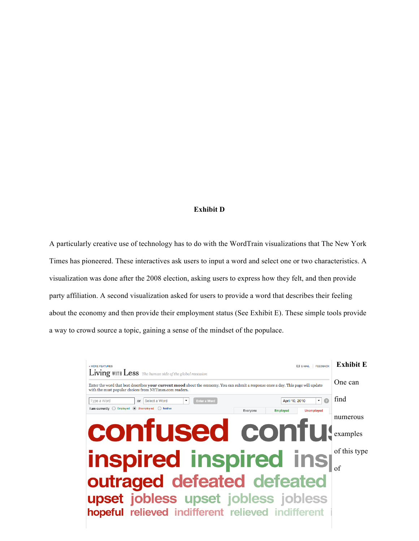### **Exhibit D**

A particularly creative use of technology has to do with the WordTrain visualizations that The New York Times has pioneered. These interactives ask users to input a word and select one or two characteristics. A visualization was done after the 2008 election, asking users to express how they felt, and then provide party affiliation. A second visualization asked for users to provide a word that describes their feeling about the economy and then provide their employment status (See Exhibit E). These simple tools provide a way to crowd source a topic, gaining a sense of the mindset of the populace.

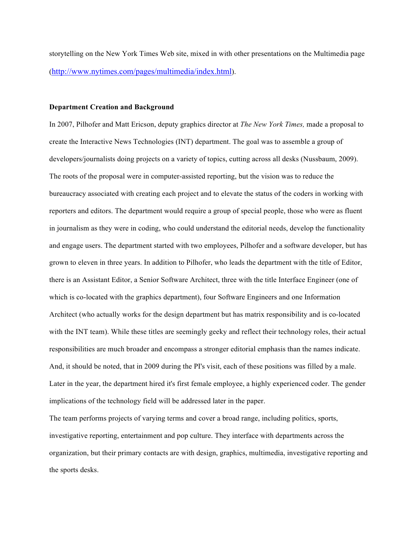storytelling on the New York Times Web site, mixed in with other presentations on the Multimedia page (http://www.nytimes.com/pages/multimedia/index.html).

### **Department Creation and Background**

In 2007, Pilhofer and Matt Ericson, deputy graphics director at *The New York Times,* made a proposal to create the Interactive News Technologies (INT) department. The goal was to assemble a group of developers/journalists doing projects on a variety of topics, cutting across all desks (Nussbaum, 2009). The roots of the proposal were in computer-assisted reporting, but the vision was to reduce the bureaucracy associated with creating each project and to elevate the status of the coders in working with reporters and editors. The department would require a group of special people, those who were as fluent in journalism as they were in coding, who could understand the editorial needs, develop the functionality and engage users. The department started with two employees, Pilhofer and a software developer, but has grown to eleven in three years. In addition to Pilhofer, who leads the department with the title of Editor, there is an Assistant Editor, a Senior Software Architect, three with the title Interface Engineer (one of which is co-located with the graphics department), four Software Engineers and one Information Architect (who actually works for the design department but has matrix responsibility and is co-located with the INT team). While these titles are seemingly geeky and reflect their technology roles, their actual responsibilities are much broader and encompass a stronger editorial emphasis than the names indicate. And, it should be noted, that in 2009 during the PI's visit, each of these positions was filled by a male. Later in the year, the department hired it's first female employee, a highly experienced coder. The gender implications of the technology field will be addressed later in the paper.

The team performs projects of varying terms and cover a broad range, including politics, sports, investigative reporting, entertainment and pop culture. They interface with departments across the organization, but their primary contacts are with design, graphics, multimedia, investigative reporting and the sports desks.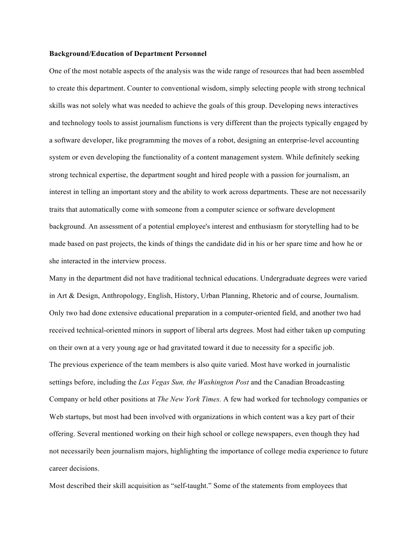### **Background/Education of Department Personnel**

One of the most notable aspects of the analysis was the wide range of resources that had been assembled to create this department. Counter to conventional wisdom, simply selecting people with strong technical skills was not solely what was needed to achieve the goals of this group. Developing news interactives and technology tools to assist journalism functions is very different than the projects typically engaged by a software developer, like programming the moves of a robot, designing an enterprise-level accounting system or even developing the functionality of a content management system. While definitely seeking strong technical expertise, the department sought and hired people with a passion for journalism, an interest in telling an important story and the ability to work across departments. These are not necessarily traits that automatically come with someone from a computer science or software development background. An assessment of a potential employee's interest and enthusiasm for storytelling had to be made based on past projects, the kinds of things the candidate did in his or her spare time and how he or she interacted in the interview process.

Many in the department did not have traditional technical educations. Undergraduate degrees were varied in Art & Design, Anthropology, English, History, Urban Planning, Rhetoric and of course, Journalism. Only two had done extensive educational preparation in a computer-oriented field, and another two had received technical-oriented minors in support of liberal arts degrees. Most had either taken up computing on their own at a very young age or had gravitated toward it due to necessity for a specific job. The previous experience of the team members is also quite varied. Most have worked in journalistic settings before, including the *Las Vegas Sun, the Washington Post* and the Canadian Broadcasting Company or held other positions at *The New York Times.* A few had worked for technology companies or Web startups, but most had been involved with organizations in which content was a key part of their offering. Several mentioned working on their high school or college newspapers, even though they had not necessarily been journalism majors, highlighting the importance of college media experience to future career decisions.

Most described their skill acquisition as "self-taught." Some of the statements from employees that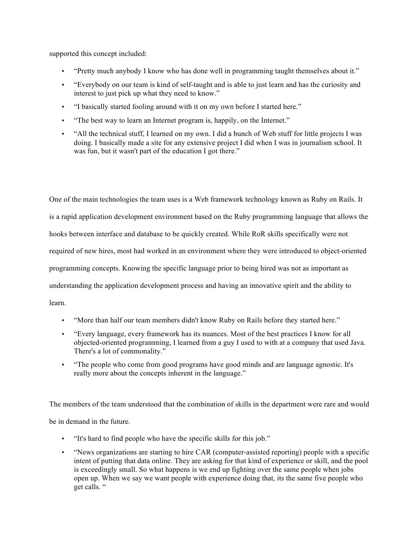supported this concept included:

- "Pretty much anybody I know who has done well in programming taught themselves about it."
- "Everybody on our team is kind of self-taught and is able to just learn and has the curiosity and interest to just pick up what they need to know."
- "I basically started fooling around with it on my own before I started here."
- "The best way to learn an Internet program is, happily, on the Internet."
- "All the technical stuff, I learned on my own. I did a bunch of Web stuff for little projects I was doing. I basically made a site for any extensive project I did when I was in journalism school. It was fun, but it wasn't part of the education I got there."

One of the main technologies the team uses is a Web framework technology known as Ruby on Rails. It is a rapid application development environment based on the Ruby programming language that allows the hooks between interface and database to be quickly created. While RoR skills specifically were not required of new hires, most had worked in an environment where they were introduced to object-oriented programming concepts. Knowing the specific language prior to being hired was not as important as understanding the application development process and having an innovative spirit and the ability to learn.

- "More than half our team members didn't know Ruby on Rails before they started here."
- "Every language, every framework has its nuances. Most of the best practices I know for all objected-oriented programming, I learned from a guy I used to with at a company that used Java. There's a lot of commonality."
- "The people who come from good programs have good minds and are language agnostic. It's really more about the concepts inherent in the language."

The members of the team understood that the combination of skills in the department were rare and would

be in demand in the future.

- "It's hard to find people who have the specific skills for this job."
- "News organizations are starting to hire CAR (computer-assisted reporting) people with a specific intent of putting that data online. They are asking for that kind of experience or skill, and the pool is exceedingly small. So what happens is we end up fighting over the same people when jobs open up. When we say we want people with experience doing that, its the same five people who get calls. "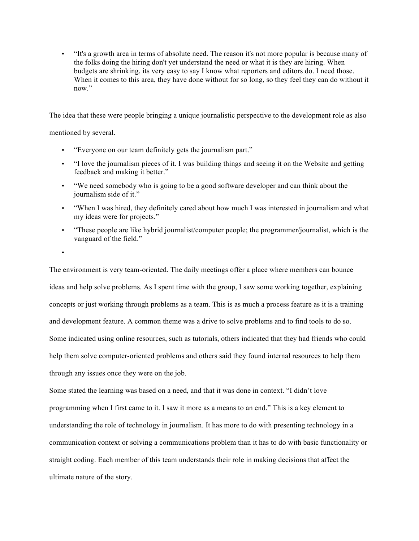• "It's a growth area in terms of absolute need. The reason it's not more popular is because many of the folks doing the hiring don't yet understand the need or what it is they are hiring. When budgets are shrinking, its very easy to say I know what reporters and editors do. I need those. When it comes to this area, they have done without for so long, so they feel they can do without it now"

The idea that these were people bringing a unique journalistic perspective to the development role as also

mentioned by several.

- "Everyone on our team definitely gets the journalism part."
- "I love the journalism pieces of it. I was building things and seeing it on the Website and getting feedback and making it better."
- "We need somebody who is going to be a good software developer and can think about the journalism side of it."
- "When I was hired, they definitely cared about how much I was interested in journalism and what my ideas were for projects."
- "These people are like hybrid journalist/computer people; the programmer/journalist, which is the vanguard of the field."

•

The environment is very team-oriented. The daily meetings offer a place where members can bounce ideas and help solve problems. As I spent time with the group, I saw some working together, explaining concepts or just working through problems as a team. This is as much a process feature as it is a training and development feature. A common theme was a drive to solve problems and to find tools to do so. Some indicated using online resources, such as tutorials, others indicated that they had friends who could help them solve computer-oriented problems and others said they found internal resources to help them through any issues once they were on the job.

Some stated the learning was based on a need, and that it was done in context. "I didn't love programming when I first came to it. I saw it more as a means to an end." This is a key element to understanding the role of technology in journalism. It has more to do with presenting technology in a communication context or solving a communications problem than it has to do with basic functionality or straight coding. Each member of this team understands their role in making decisions that affect the ultimate nature of the story.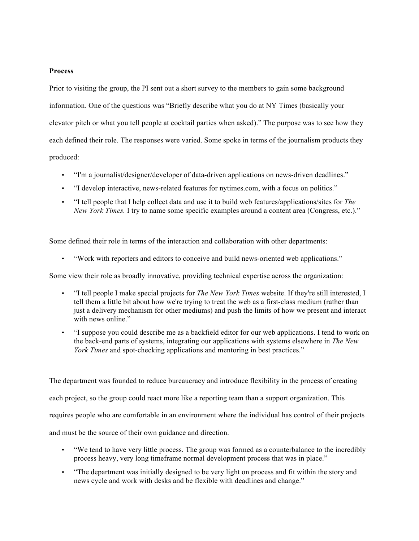## **Process**

Prior to visiting the group, the PI sent out a short survey to the members to gain some background information. One of the questions was "Briefly describe what you do at NY Times (basically your elevator pitch or what you tell people at cocktail parties when asked)." The purpose was to see how they each defined their role. The responses were varied. Some spoke in terms of the journalism products they produced:

- "I'm a journalist/designer/developer of data-driven applications on news-driven deadlines."
- "I develop interactive, news-related features for nytimes.com, with a focus on politics."
- "I tell people that I help collect data and use it to build web features/applications/sites for *The New York Times.* I try to name some specific examples around a content area (Congress, etc.)."

Some defined their role in terms of the interaction and collaboration with other departments:

• "Work with reporters and editors to conceive and build news-oriented web applications."

Some view their role as broadly innovative, providing technical expertise across the organization:

- "I tell people I make special projects for *The New York Times* website. If they're still interested, I tell them a little bit about how we're trying to treat the web as a first-class medium (rather than just a delivery mechanism for other mediums) and push the limits of how we present and interact with news online."
- "I suppose you could describe me as a backfield editor for our web applications. I tend to work on the back-end parts of systems, integrating our applications with systems elsewhere in *The New York Times* and spot-checking applications and mentoring in best practices."

The department was founded to reduce bureaucracy and introduce flexibility in the process of creating each project, so the group could react more like a reporting team than a support organization. This requires people who are comfortable in an environment where the individual has control of their projects and must be the source of their own guidance and direction.

- "We tend to have very little process. The group was formed as a counterbalance to the incredibly process heavy, very long timeframe normal development process that was in place."
- "The department was initially designed to be very light on process and fit within the story and news cycle and work with desks and be flexible with deadlines and change."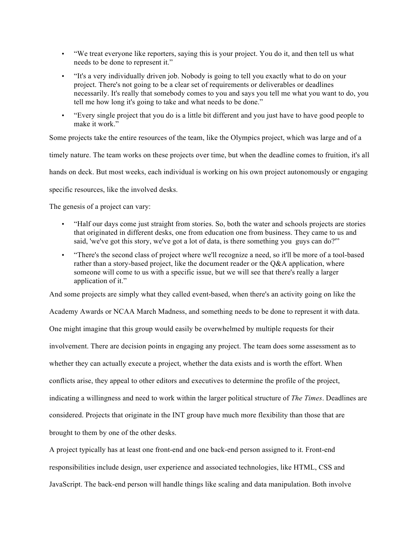- "We treat everyone like reporters, saying this is your project. You do it, and then tell us what needs to be done to represent it."
- "It's a very individually driven job. Nobody is going to tell you exactly what to do on your project. There's not going to be a clear set of requirements or deliverables or deadlines necessarily. It's really that somebody comes to you and says you tell me what you want to do, you tell me how long it's going to take and what needs to be done."
- "Every single project that you do is a little bit different and you just have to have good people to make it work."

Some projects take the entire resources of the team, like the Olympics project, which was large and of a

timely nature. The team works on these projects over time, but when the deadline comes to fruition, it's all

hands on deck. But most weeks, each individual is working on his own project autonomously or engaging

specific resources, like the involved desks.

The genesis of a project can vary:

- "Half our days come just straight from stories. So, both the water and schools projects are stories that originated in different desks, one from education one from business. They came to us and said, 'we've got this story, we've got a lot of data, is there something you guys can do?'"
- "There's the second class of project where we'll recognize a need, so it'll be more of a tool-based rather than a story-based project, like the document reader or the Q&A application, where someone will come to us with a specific issue, but we will see that there's really a larger application of it."

And some projects are simply what they called event-based, when there's an activity going on like the

Academy Awards or NCAA March Madness, and something needs to be done to represent it with data. One might imagine that this group would easily be overwhelmed by multiple requests for their involvement. There are decision points in engaging any project. The team does some assessment as to whether they can actually execute a project, whether the data exists and is worth the effort. When conflicts arise, they appeal to other editors and executives to determine the profile of the project, indicating a willingness and need to work within the larger political structure of *The Times*. Deadlines are considered. Projects that originate in the INT group have much more flexibility than those that are brought to them by one of the other desks.

A project typically has at least one front-end and one back-end person assigned to it. Front-end responsibilities include design, user experience and associated technologies, like HTML, CSS and JavaScript. The back-end person will handle things like scaling and data manipulation. Both involve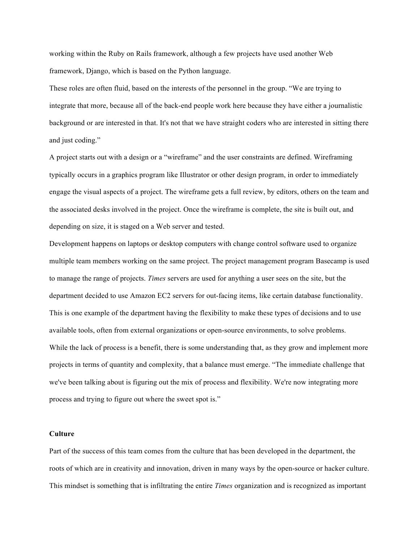working within the Ruby on Rails framework, although a few projects have used another Web framework, Django, which is based on the Python language.

These roles are often fluid, based on the interests of the personnel in the group. "We are trying to integrate that more, because all of the back-end people work here because they have either a journalistic background or are interested in that. It's not that we have straight coders who are interested in sitting there and just coding."

A project starts out with a design or a "wireframe" and the user constraints are defined. Wireframing typically occurs in a graphics program like Illustrator or other design program, in order to immediately engage the visual aspects of a project. The wireframe gets a full review, by editors, others on the team and the associated desks involved in the project. Once the wireframe is complete, the site is built out, and depending on size, it is staged on a Web server and tested.

Development happens on laptops or desktop computers with change control software used to organize multiple team members working on the same project. The project management program Basecamp is used to manage the range of projects. *Times* servers are used for anything a user sees on the site, but the department decided to use Amazon EC2 servers for out-facing items, like certain database functionality. This is one example of the department having the flexibility to make these types of decisions and to use available tools, often from external organizations or open-source environments, to solve problems. While the lack of process is a benefit, there is some understanding that, as they grow and implement more projects in terms of quantity and complexity, that a balance must emerge. "The immediate challenge that we've been talking about is figuring out the mix of process and flexibility. We're now integrating more process and trying to figure out where the sweet spot is."

### **Culture**

Part of the success of this team comes from the culture that has been developed in the department, the roots of which are in creativity and innovation, driven in many ways by the open-source or hacker culture. This mindset is something that is infiltrating the entire *Times* organization and is recognized as important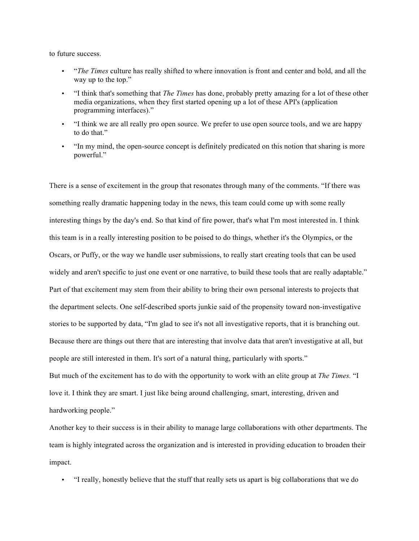to future success.

- "*The Times* culture has really shifted to where innovation is front and center and bold, and all the way up to the top."
- "I think that's something that *The Times* has done, probably pretty amazing for a lot of these other media organizations, when they first started opening up a lot of these API's (application programming interfaces)."
- "I think we are all really pro open source. We prefer to use open source tools, and we are happy to do that."
- "In my mind, the open-source concept is definitely predicated on this notion that sharing is more powerful."

There is a sense of excitement in the group that resonates through many of the comments. "If there was something really dramatic happening today in the news, this team could come up with some really interesting things by the day's end. So that kind of fire power, that's what I'm most interested in. I think this team is in a really interesting position to be poised to do things, whether it's the Olympics, or the Oscars, or Puffy, or the way we handle user submissions, to really start creating tools that can be used widely and aren't specific to just one event or one narrative, to build these tools that are really adaptable." Part of that excitement may stem from their ability to bring their own personal interests to projects that the department selects. One self-described sports junkie said of the propensity toward non-investigative stories to be supported by data, "I'm glad to see it's not all investigative reports, that it is branching out. Because there are things out there that are interesting that involve data that aren't investigative at all, but people are still interested in them. It's sort of a natural thing, particularly with sports." But much of the excitement has to do with the opportunity to work with an elite group at *The Times.* "I love it. I think they are smart. I just like being around challenging, smart, interesting, driven and

hardworking people."

Another key to their success is in their ability to manage large collaborations with other departments. The team is highly integrated across the organization and is interested in providing education to broaden their impact.

• "I really, honestly believe that the stuff that really sets us apart is big collaborations that we do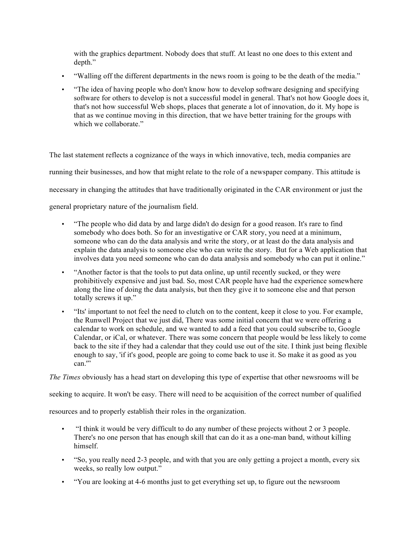with the graphics department. Nobody does that stuff. At least no one does to this extent and depth."

- "Walling off the different departments in the news room is going to be the death of the media."
- "The idea of having people who don't know how to develop software designing and specifying software for others to develop is not a successful model in general. That's not how Google does it, that's not how successful Web shops, places that generate a lot of innovation, do it. My hope is that as we continue moving in this direction, that we have better training for the groups with which we collaborate."

The last statement reflects a cognizance of the ways in which innovative, tech, media companies are running their businesses, and how that might relate to the role of a newspaper company. This attitude is necessary in changing the attitudes that have traditionally originated in the CAR environment or just the general proprietary nature of the journalism field.

- "The people who did data by and large didn't do design for a good reason. It's rare to find somebody who does both. So for an investigative or CAR story, you need at a minimum, someone who can do the data analysis and write the story, or at least do the data analysis and explain the data analysis to someone else who can write the story. But for a Web application that involves data you need someone who can do data analysis and somebody who can put it online."
- "Another factor is that the tools to put data online, up until recently sucked, or they were prohibitively expensive and just bad. So, most CAR people have had the experience somewhere along the line of doing the data analysis, but then they give it to someone else and that person totally screws it up."
- "Its' important to not feel the need to clutch on to the content, keep it close to you. For example, the Runwell Project that we just did, There was some initial concern that we were offering a calendar to work on schedule, and we wanted to add a feed that you could subscribe to, Google Calendar, or iCal, or whatever. There was some concern that people would be less likely to come back to the site if they had a calendar that they could use out of the site. I think just being flexible enough to say, 'if it's good, people are going to come back to use it. So make it as good as you  $can<sup>17</sup>$

*The Times* obviously has a head start on developing this type of expertise that other newsrooms will be

seeking to acquire. It won't be easy. There will need to be acquisition of the correct number of qualified

resources and to properly establish their roles in the organization.

- "I think it would be very difficult to do any number of these projects without 2 or 3 people. There's no one person that has enough skill that can do it as a one-man band, without killing himself.
- "So, you really need 2-3 people, and with that you are only getting a project a month, every six weeks, so really low output."
- "You are looking at 4-6 months just to get everything set up, to figure out the newsroom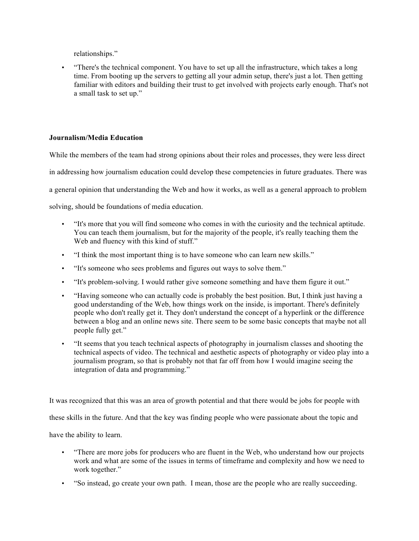relationships."

• "There's the technical component. You have to set up all the infrastructure, which takes a long time. From booting up the servers to getting all your admin setup, there's just a lot. Then getting familiar with editors and building their trust to get involved with projects early enough. That's not a small task to set up."

## **Journalism/Media Education**

While the members of the team had strong opinions about their roles and processes, they were less direct

in addressing how journalism education could develop these competencies in future graduates. There was

a general opinion that understanding the Web and how it works, as well as a general approach to problem

solving, should be foundations of media education.

- "It's more that you will find someone who comes in with the curiosity and the technical aptitude. You can teach them journalism, but for the majority of the people, it's really teaching them the Web and fluency with this kind of stuff."
- "I think the most important thing is to have someone who can learn new skills."
- "It's someone who sees problems and figures out ways to solve them."
- "It's problem-solving. I would rather give someone something and have them figure it out."
- "Having someone who can actually code is probably the best position. But, I think just having a good understanding of the Web, how things work on the inside, is important. There's definitely people who don't really get it. They don't understand the concept of a hyperlink or the difference between a blog and an online news site. There seem to be some basic concepts that maybe not all people fully get."
- "It seems that you teach technical aspects of photography in journalism classes and shooting the technical aspects of video. The technical and aesthetic aspects of photography or video play into a journalism program, so that is probably not that far off from how I would imagine seeing the integration of data and programming."

It was recognized that this was an area of growth potential and that there would be jobs for people with

these skills in the future. And that the key was finding people who were passionate about the topic and

have the ability to learn.

- "There are more jobs for producers who are fluent in the Web, who understand how our projects work and what are some of the issues in terms of timeframe and complexity and how we need to work together."
- "So instead, go create your own path. I mean, those are the people who are really succeeding.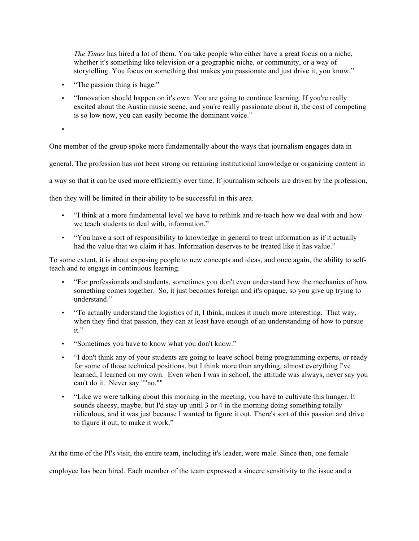*The Times* has hired a lot of them. You take people who either have a great focus on a niche, whether it's something like television or a geographic niche, or community, or a way of storytelling. You focus on something that makes you passionate and just drive it, you know."

• "The passion thing is huge."

•

• "Innovation should happen on it's own. You are going to continue learning. If you're really excited about the Austin music scene, and you're really passionate about it, the cost of competing is so low now, you can easily become the dominant voice."

One member of the group spoke more fundamentally about the ways that journalism engages data in

general. The profession has not been strong on retaining institutional knowledge or organizing content in

a way so that it can be used more efficiently over time. If journalism schools are driven by the profession,

then they will be limited in their ability to be successful in this area.

- "I think at a more fundamental level we have to rethink and re-teach how we deal with and how we teach students to deal with, information."
- "You have a sort of responsibility to knowledge in general to treat information as if it actually had the value that we claim it has. Information deserves to be treated like it has value."

To some extent, it is about exposing people to new concepts and ideas, and once again, the ability to selfteach and to engage in continuous learning.

- "For professionals and students, sometimes you don't even understand how the mechanics of how something comes together. So, it just becomes foreign and it's opaque, so you give up trying to understand<sup>"</sup>
- "To actually understand the logistics of it, I think, makes it much more interesting. That way, when they find that passion, they can at least have enough of an understanding of how to pursue it."
- "Sometimes you have to know what you don't know."
- "I don't think any of your students are going to leave school being programming experts, or ready for some of those technical positions, but I think more than anything, almost everything I've learned, I learned on my own. Even when I was in school, the attitude was always, never say you can't do it. Never say ""no.""
- "Like we were talking about this morning in the meeting, you have to cultivate this hunger. It sounds cheesy, maybe, but I'd stay up until 3 or 4 in the morning doing something totally ridiculous, and it was just because I wanted to figure it out. There's sort of this passion and drive to figure it out, to make it work."

At the time of the PI's visit, the entire team, including it's leader, were male. Since then, one female

employee has been hired. Each member of the team expressed a sincere sensitivity to the issue and a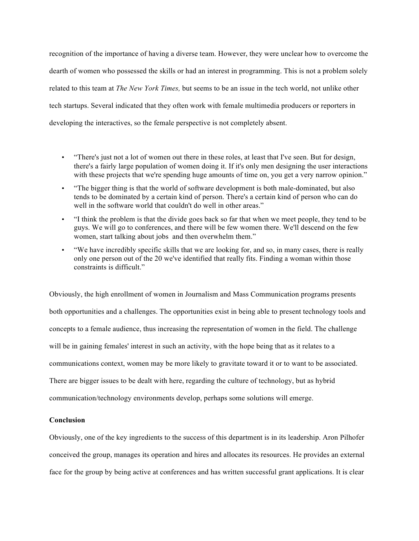recognition of the importance of having a diverse team. However, they were unclear how to overcome the dearth of women who possessed the skills or had an interest in programming. This is not a problem solely related to this team at *The New York Times,* but seems to be an issue in the tech world, not unlike other tech startups. Several indicated that they often work with female multimedia producers or reporters in developing the interactives, so the female perspective is not completely absent.

- "There's just not a lot of women out there in these roles, at least that I've seen. But for design, there's a fairly large population of women doing it. If it's only men designing the user interactions with these projects that we're spending huge amounts of time on, you get a very narrow opinion."
- "The bigger thing is that the world of software development is both male-dominated, but also tends to be dominated by a certain kind of person. There's a certain kind of person who can do well in the software world that couldn't do well in other areas."
- "I think the problem is that the divide goes back so far that when we meet people, they tend to be guys. We will go to conferences, and there will be few women there. We'll descend on the few women, start talking about jobs and then overwhelm them."
- "We have incredibly specific skills that we are looking for, and so, in many cases, there is really only one person out of the 20 we've identified that really fits. Finding a woman within those constraints is difficult."

Obviously, the high enrollment of women in Journalism and Mass Communication programs presents both opportunities and a challenges. The opportunities exist in being able to present technology tools and concepts to a female audience, thus increasing the representation of women in the field. The challenge will be in gaining females' interest in such an activity, with the hope being that as it relates to a communications context, women may be more likely to gravitate toward it or to want to be associated. There are bigger issues to be dealt with here, regarding the culture of technology, but as hybrid communication/technology environments develop, perhaps some solutions will emerge.

### **Conclusion**

Obviously, one of the key ingredients to the success of this department is in its leadership. Aron Pilhofer conceived the group, manages its operation and hires and allocates its resources. He provides an external face for the group by being active at conferences and has written successful grant applications. It is clear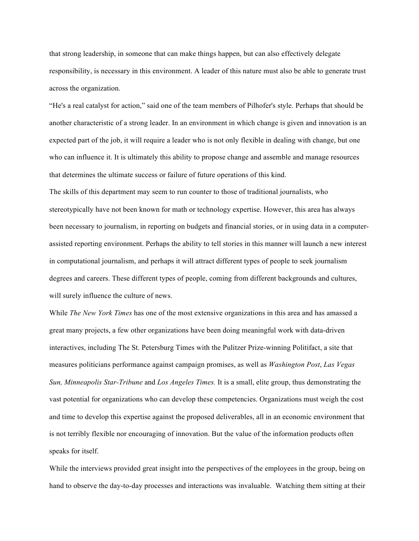that strong leadership, in someone that can make things happen, but can also effectively delegate responsibility, is necessary in this environment. A leader of this nature must also be able to generate trust across the organization.

"He's a real catalyst for action," said one of the team members of Pilhofer's style. Perhaps that should be another characteristic of a strong leader. In an environment in which change is given and innovation is an expected part of the job, it will require a leader who is not only flexible in dealing with change, but one who can influence it. It is ultimately this ability to propose change and assemble and manage resources that determines the ultimate success or failure of future operations of this kind.

The skills of this department may seem to run counter to those of traditional journalists, who stereotypically have not been known for math or technology expertise. However, this area has always been necessary to journalism, in reporting on budgets and financial stories, or in using data in a computerassisted reporting environment. Perhaps the ability to tell stories in this manner will launch a new interest in computational journalism, and perhaps it will attract different types of people to seek journalism degrees and careers. These different types of people, coming from different backgrounds and cultures, will surely influence the culture of news.

While *The New York Times* has one of the most extensive organizations in this area and has amassed a great many projects, a few other organizations have been doing meaningful work with data-driven interactives, including The St. Petersburg Times with the Pulitzer Prize-winning Politifact, a site that measures politicians performance against campaign promises, as well as *Washington Post*, *Las Vegas Sun, Minneapolis Star-Tribune* and *Los Angeles Times.* It is a small, elite group, thus demonstrating the vast potential for organizations who can develop these competencies. Organizations must weigh the cost and time to develop this expertise against the proposed deliverables, all in an economic environment that is not terribly flexible nor encouraging of innovation. But the value of the information products often speaks for itself.

While the interviews provided great insight into the perspectives of the employees in the group, being on hand to observe the day-to-day processes and interactions was invaluable. Watching them sitting at their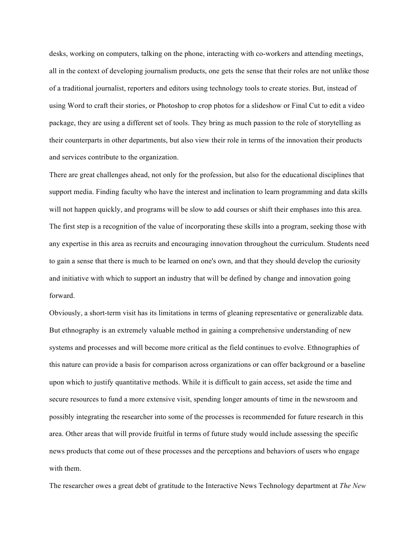desks, working on computers, talking on the phone, interacting with co-workers and attending meetings, all in the context of developing journalism products, one gets the sense that their roles are not unlike those of a traditional journalist, reporters and editors using technology tools to create stories. But, instead of using Word to craft their stories, or Photoshop to crop photos for a slideshow or Final Cut to edit a video package, they are using a different set of tools. They bring as much passion to the role of storytelling as their counterparts in other departments, but also view their role in terms of the innovation their products and services contribute to the organization.

There are great challenges ahead, not only for the profession, but also for the educational disciplines that support media. Finding faculty who have the interest and inclination to learn programming and data skills will not happen quickly, and programs will be slow to add courses or shift their emphases into this area. The first step is a recognition of the value of incorporating these skills into a program, seeking those with any expertise in this area as recruits and encouraging innovation throughout the curriculum. Students need to gain a sense that there is much to be learned on one's own, and that they should develop the curiosity and initiative with which to support an industry that will be defined by change and innovation going forward.

Obviously, a short-term visit has its limitations in terms of gleaning representative or generalizable data. But ethnography is an extremely valuable method in gaining a comprehensive understanding of new systems and processes and will become more critical as the field continues to evolve. Ethnographies of this nature can provide a basis for comparison across organizations or can offer background or a baseline upon which to justify quantitative methods. While it is difficult to gain access, set aside the time and secure resources to fund a more extensive visit, spending longer amounts of time in the newsroom and possibly integrating the researcher into some of the processes is recommended for future research in this area. Other areas that will provide fruitful in terms of future study would include assessing the specific news products that come out of these processes and the perceptions and behaviors of users who engage with them.

The researcher owes a great debt of gratitude to the Interactive News Technology department at *The New*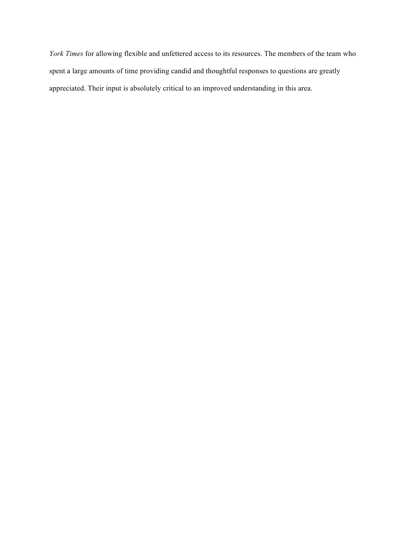*York Times* for allowing flexible and unfettered access to its resources. The members of the team who spent a large amounts of time providing candid and thoughtful responses to questions are greatly appreciated. Their input is absolutely critical to an improved understanding in this area.